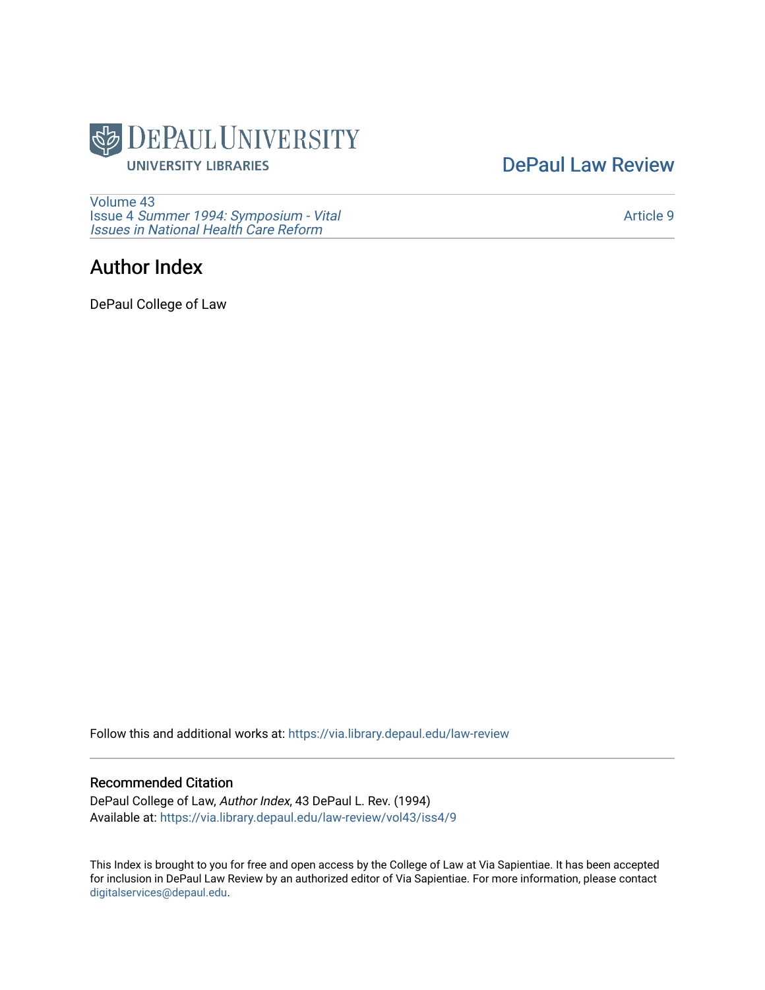

[DePaul Law Review](https://via.library.depaul.edu/law-review) 

[Volume 43](https://via.library.depaul.edu/law-review/vol43) Issue 4 [Summer 1994: Symposium - Vital](https://via.library.depaul.edu/law-review/vol43/iss4) [Issues in National Health Care Reform](https://via.library.depaul.edu/law-review/vol43/iss4) 

## Author Index

DePaul College of Law

Follow this and additional works at: [https://via.library.depaul.edu/law-review](https://via.library.depaul.edu/law-review?utm_source=via.library.depaul.edu%2Flaw-review%2Fvol43%2Fiss4%2F9&utm_medium=PDF&utm_campaign=PDFCoverPages) 

## Recommended Citation

DePaul College of Law, Author Index, 43 DePaul L. Rev. (1994) Available at: [https://via.library.depaul.edu/law-review/vol43/iss4/9](https://via.library.depaul.edu/law-review/vol43/iss4/9?utm_source=via.library.depaul.edu%2Flaw-review%2Fvol43%2Fiss4%2F9&utm_medium=PDF&utm_campaign=PDFCoverPages) 

This Index is brought to you for free and open access by the College of Law at Via Sapientiae. It has been accepted for inclusion in DePaul Law Review by an authorized editor of Via Sapientiae. For more information, please contact [digitalservices@depaul.edu.](mailto:digitalservices@depaul.edu)

[Article 9](https://via.library.depaul.edu/law-review/vol43/iss4/9)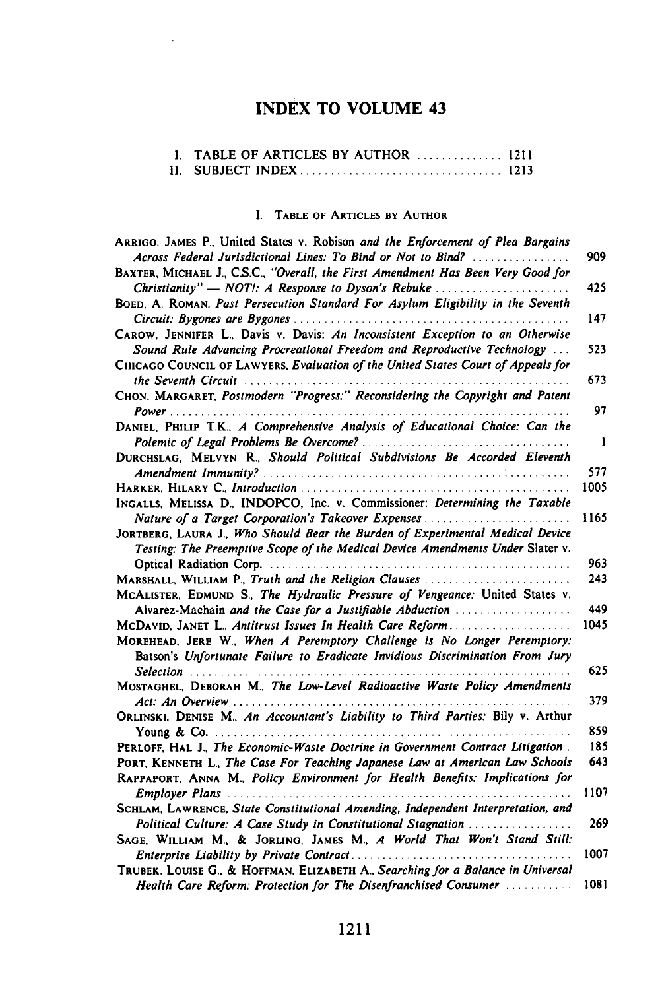## INDEX TO **VOLUME** 43

| I. TABLE OF ARTICLES BY AUTHOR  1211 |  |
|--------------------------------------|--|
|                                      |  |

## I. TABLE OF ARTICLES BY AUTHOR

| ARRIGO, JAMES P., United States v. Robison and the Enforcement of Plea Bargains<br>Across Federal Jurisdictional Lines: To Bind or Not to Bind? | 909  |
|-------------------------------------------------------------------------------------------------------------------------------------------------|------|
| BAXTER, MICHAEL J., C.S.C., "Overall, the First Amendment Has Been Very Good for                                                                |      |
|                                                                                                                                                 | 425  |
| BOED, A. ROMAN, Past Persecution Standard For Asylum Eligibility in the Seventh                                                                 |      |
|                                                                                                                                                 | 147  |
| CAROW, JENNIFER L., Davis v. Davis: An Inconsistent Exception to an Otherwise                                                                   |      |
| Sound Rule Advancing Procreational Freedom and Reproductive Technology                                                                          | 523  |
| CHICAGO COUNCIL OF LAWYERS, Evaluation of the United States Court of Appeals for                                                                | 673  |
| CHON, MARGARET, Postmodern "Progress:" Reconsidering the Copyright and Patent                                                                   |      |
|                                                                                                                                                 | 97   |
| DANIEL, PHILIP T.K., A Comprehensive Analysis of Educational Choice: Can the                                                                    |      |
|                                                                                                                                                 | -1   |
| DURCHSLAG, MELVYN R., Should Political Subdivisions Be Accorded Eleventh                                                                        |      |
|                                                                                                                                                 | 577  |
|                                                                                                                                                 | 1005 |
| INGALLS, MELISSA D., INDOPCO, Inc. v. Commissioner: Determining the Taxable                                                                     |      |
| Nature of a Target Corporation's Takeover Expenses                                                                                              | 1165 |
| JORTBERG, LAURA J., Who Should Bear the Burden of Experimental Medical Device                                                                   |      |
| Testing: The Preemptive Scope of the Medical Device Amendments Under Slater v.                                                                  |      |
|                                                                                                                                                 | 963  |
| MARSHALL, WILLIAM P., Truth and the Religion Clauses                                                                                            | 243  |
| MCALISTER, EDMUND S., The Hydraulic Pressure of Vengeance: United States v.                                                                     |      |
| Alvarez-Machain and the Case for a Justifiable Abduction                                                                                        | 449  |
|                                                                                                                                                 | 1045 |
| MCDAVID, JANET L., Antitrust Issues In Health Care Reform                                                                                       |      |
| MOREHEAD, JERE W., When A Peremptory Challenge is No Longer Peremptory:                                                                         |      |
| Batson's Unfortunate Failure to Eradicate Invidious Discrimination From Jury                                                                    | 625  |
| MOSTAGHEL, DEBORAH M., The Low-Level Radioactive Waste Policy Amendments                                                                        |      |
|                                                                                                                                                 | 379  |
| ORLINSKI, DENISE M., An Accountant's Liability to Third Parties: Bily v. Arthur                                                                 |      |
|                                                                                                                                                 | 859  |
| PERLOFF, HAL J., The Economic-Waste Doctrine in Government Contract Litigation.                                                                 | 185  |
| PORT, KENNETH L., The Case For Teaching Japanese Law at American Law Schools                                                                    | 643  |
| RAPPAPORT, ANNA M., Policy Environment for Health Benefits: Implications for                                                                    |      |
|                                                                                                                                                 |      |
| Employer Plans                                                                                                                                  | 1107 |
| SCHLAM, LAWRENCE, State Constitutional Amending, Independent Interpretation, and                                                                | 269  |
| Political Culture: A Case Study in Constitutional Stagnation                                                                                    |      |
| SAGE, WILLIAM M., & JORLING, JAMES M., A World That Won't Stand Still:                                                                          | 1007 |
|                                                                                                                                                 |      |
| TRUBEK, LOUISE G., & HOFFMAN, ELIZABETH A., Searching for a Balance in Universal                                                                |      |
| Health Care Reform: Protection for The Disenfranchised Consumer                                                                                 | 1081 |